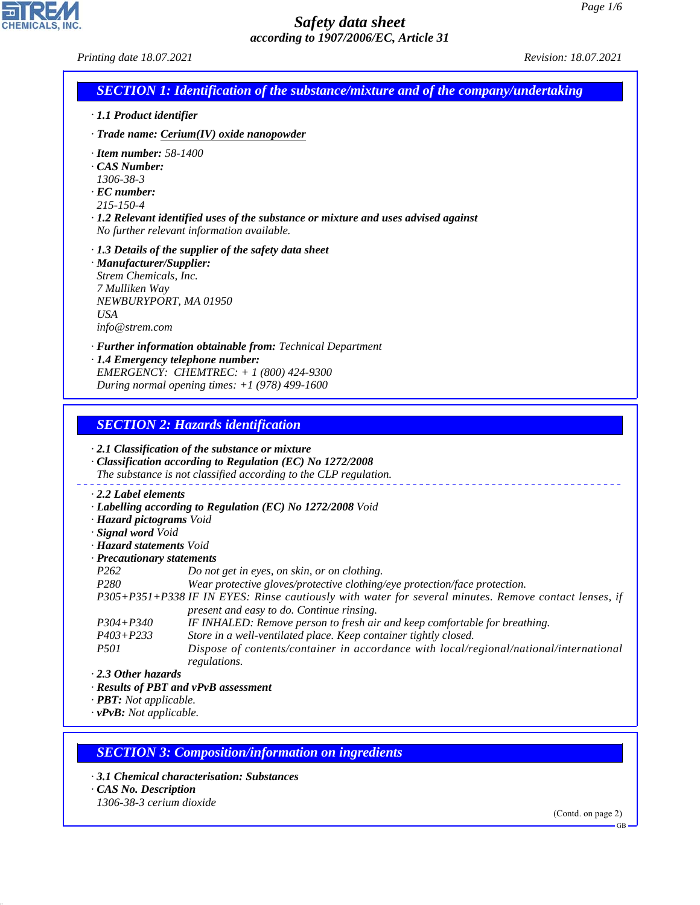| Printing date 18.07.2021                                                                                                                                                                                                                                                                                        | 10111100000000                                                                                                                                                                                                                                                                                                                                                                                                                                                                                                                                                                                                                                                                                                                                                                                                                                                                             | Revision: 18.07.2021         |
|-----------------------------------------------------------------------------------------------------------------------------------------------------------------------------------------------------------------------------------------------------------------------------------------------------------------|--------------------------------------------------------------------------------------------------------------------------------------------------------------------------------------------------------------------------------------------------------------------------------------------------------------------------------------------------------------------------------------------------------------------------------------------------------------------------------------------------------------------------------------------------------------------------------------------------------------------------------------------------------------------------------------------------------------------------------------------------------------------------------------------------------------------------------------------------------------------------------------------|------------------------------|
|                                                                                                                                                                                                                                                                                                                 | <b>SECTION 1: Identification of the substance/mixture and of the company/undertaking</b>                                                                                                                                                                                                                                                                                                                                                                                                                                                                                                                                                                                                                                                                                                                                                                                                   |                              |
| · 1.1 Product identifier                                                                                                                                                                                                                                                                                        |                                                                                                                                                                                                                                                                                                                                                                                                                                                                                                                                                                                                                                                                                                                                                                                                                                                                                            |                              |
|                                                                                                                                                                                                                                                                                                                 | $\cdot$ Trade name: Cerium(IV) oxide nanopowder                                                                                                                                                                                                                                                                                                                                                                                                                                                                                                                                                                                                                                                                                                                                                                                                                                            |                              |
| $\cdot$ Item number: 58-1400<br>CAS Number:<br>1306-38-3<br>$\cdot$ EC number:<br>215-150-4                                                                                                                                                                                                                     | $\cdot$ 1.2 Relevant identified uses of the substance or mixture and uses advised against<br>No further relevant information available.                                                                                                                                                                                                                                                                                                                                                                                                                                                                                                                                                                                                                                                                                                                                                    |                              |
| · Manufacturer/Supplier:<br>Strem Chemicals, Inc.<br>7 Mulliken Way<br>NEWBURYPORT, MA 01950<br><b>USA</b><br>info@strem.com                                                                                                                                                                                    | $\cdot$ 1.3 Details of the supplier of the safety data sheet                                                                                                                                                                                                                                                                                                                                                                                                                                                                                                                                                                                                                                                                                                                                                                                                                               |                              |
|                                                                                                                                                                                                                                                                                                                 | · Further information obtainable from: Technical Department<br>· 1.4 Emergency telephone number:<br>EMERGENCY: CHEMTREC: + 1 (800) 424-9300<br>During normal opening times: $+1$ (978) 499-1600                                                                                                                                                                                                                                                                                                                                                                                                                                                                                                                                                                                                                                                                                            |                              |
| 2.2 Label elements<br>· Hazard pictograms Void<br>· Signal word Void<br>· <b>Hazard statements</b> Void<br>· Precautionary statements<br>P <sub>262</sub><br>P <sub>280</sub><br>$P304 + P340$<br>$P403 + P233$<br>P501<br>$\cdot$ 2.3 Other hazards<br>· PBT: Not applicable.<br>$\cdot$ vPvB: Not applicable. | <b>SECTION 2: Hazards identification</b><br>$\cdot$ 2.1 Classification of the substance or mixture<br>· Classification according to Regulation (EC) No 1272/2008<br>The substance is not classified according to the CLP regulation.<br>· Labelling according to Regulation (EC) No 1272/2008 Void<br>Do not get in eyes, on skin, or on clothing.<br>Wear protective gloves/protective clothing/eye protection/face protection.<br>P305+P351+P338 IF IN EYES: Rinse cautiously with water for several minutes. Remove contact lenses, if<br>present and easy to do. Continue rinsing.<br>IF INHALED: Remove person to fresh air and keep comfortable for breathing.<br>Store in a well-ventilated place. Keep container tightly closed.<br>Dispose of contents/container in accordance with local/regional/national/international<br>regulations.<br>· Results of PBT and vPvB assessment |                              |
| · CAS No. Description<br>1306-38-3 cerium dioxide                                                                                                                                                                                                                                                               | <b>SECTION 3: Composition/information on ingredients</b><br>3.1 Chemical characterisation: Substances                                                                                                                                                                                                                                                                                                                                                                                                                                                                                                                                                                                                                                                                                                                                                                                      | (Contd. on page 2)<br>$GB -$ |
|                                                                                                                                                                                                                                                                                                                 |                                                                                                                                                                                                                                                                                                                                                                                                                                                                                                                                                                                                                                                                                                                                                                                                                                                                                            |                              |

44.1.1

**EN REMIGALS, INC.**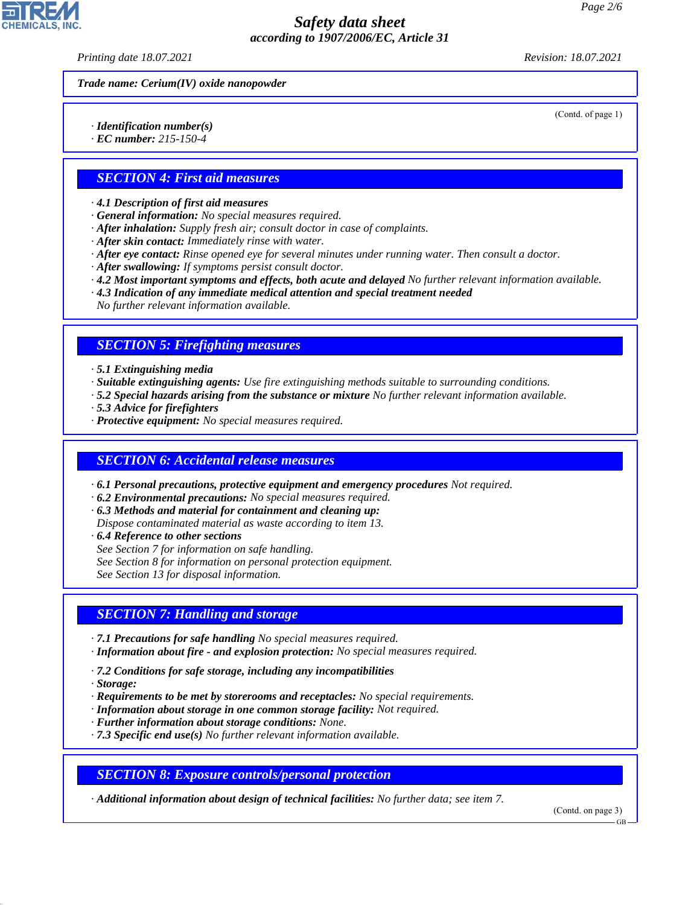*Printing date 18.07.2021 Revision: 18.07.2021*

(Contd. of page 1)

*Trade name: Cerium(IV) oxide nanopowder*

*· Identification number(s)*

*· EC number: 215-150-4*

### *SECTION 4: First aid measures*

*· 4.1 Description of first aid measures*

- *· General information: No special measures required.*
- *· After inhalation: Supply fresh air; consult doctor in case of complaints.*
- *· After skin contact: Immediately rinse with water.*
- *· After eye contact: Rinse opened eye for several minutes under running water. Then consult a doctor.*
- *· After swallowing: If symptoms persist consult doctor.*
- *· 4.2 Most important symptoms and effects, both acute and delayed No further relevant information available.*
- *· 4.3 Indication of any immediate medical attention and special treatment needed*

*No further relevant information available.*

### *SECTION 5: Firefighting measures*

*· 5.1 Extinguishing media*

- *· Suitable extinguishing agents: Use fire extinguishing methods suitable to surrounding conditions.*
- *· 5.2 Special hazards arising from the substance or mixture No further relevant information available.*
- *· 5.3 Advice for firefighters*
- *· Protective equipment: No special measures required.*

#### *SECTION 6: Accidental release measures*

- *· 6.1 Personal precautions, protective equipment and emergency procedures Not required.*
- *· 6.2 Environmental precautions: No special measures required.*
- *· 6.3 Methods and material for containment and cleaning up:*
- *Dispose contaminated material as waste according to item 13.*
- *· 6.4 Reference to other sections*
- *See Section 7 for information on safe handling.*
- *See Section 8 for information on personal protection equipment.*

*See Section 13 for disposal information.*

#### *SECTION 7: Handling and storage*

- *· 7.1 Precautions for safe handling No special measures required.*
- *· Information about fire and explosion protection: No special measures required.*
- *· 7.2 Conditions for safe storage, including any incompatibilities*
- *· Storage:*

44.1.1

- *· Requirements to be met by storerooms and receptacles: No special requirements.*
- *· Information about storage in one common storage facility: Not required.*
- *· Further information about storage conditions: None.*
- *· 7.3 Specific end use(s) No further relevant information available.*

#### *SECTION 8: Exposure controls/personal protection*

*· Additional information about design of technical facilities: No further data; see item 7.*

(Contd. on page 3)

GB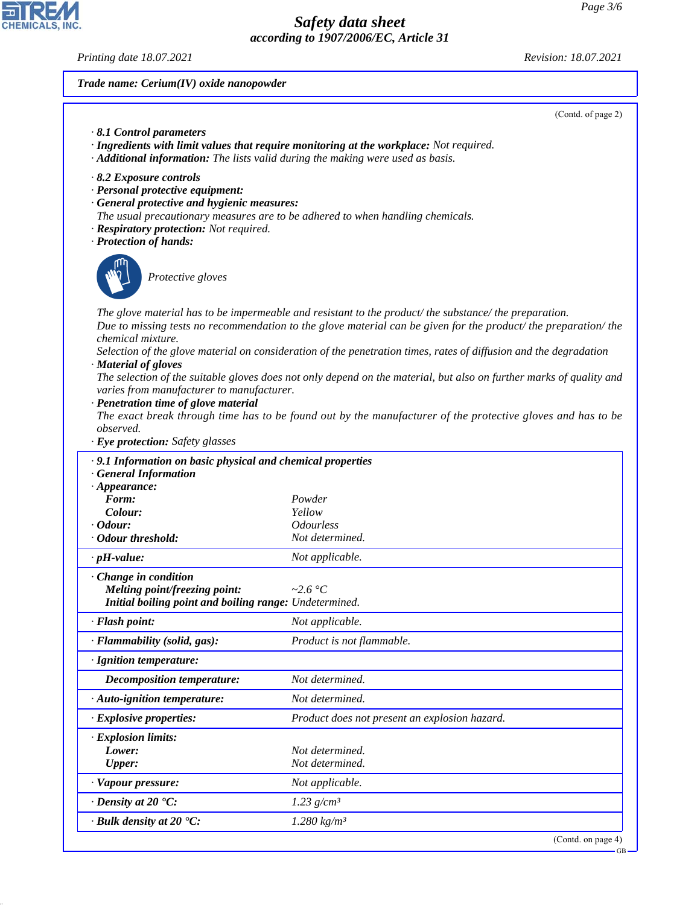CHEMICALS, INC.

44.1.1

*Printing date 18.07.2021 Revision: 18.07.2021*

*Trade name: Cerium(IV) oxide nanopowder*

| $\cdot$ 8.1 Control parameters<br>· Additional information: The lists valid during the making were used as basis.                                                                                                                                               | · Ingredients with limit values that require monitoring at the workplace: Not required.                                                                                                                                                                                                                                                                                                                                                                           |
|-----------------------------------------------------------------------------------------------------------------------------------------------------------------------------------------------------------------------------------------------------------------|-------------------------------------------------------------------------------------------------------------------------------------------------------------------------------------------------------------------------------------------------------------------------------------------------------------------------------------------------------------------------------------------------------------------------------------------------------------------|
| 8.2 Exposure controls<br>· Personal protective equipment:<br>· General protective and hygienic measures:<br>The usual precautionary measures are to be adhered to when handling chemicals.<br>· Respiratory protection: Not required.<br>· Protection of hands: |                                                                                                                                                                                                                                                                                                                                                                                                                                                                   |
| Protective gloves                                                                                                                                                                                                                                               |                                                                                                                                                                                                                                                                                                                                                                                                                                                                   |
| chemical mixture.<br>· Material of gloves<br>varies from manufacturer to manufacturer.<br>· Penetration time of glove material                                                                                                                                  | The glove material has to be impermeable and resistant to the product/the substance/the preparation.<br>Due to missing tests no recommendation to the glove material can be given for the product/the preparation/the<br>Selection of the glove material on consideration of the penetration times, rates of diffusion and the degradation<br>The selection of the suitable gloves does not only depend on the material, but also on further marks of quality and |
| observed.<br>· Eye protection: Safety glasses                                                                                                                                                                                                                   | The exact break through time has to be found out by the manufacturer of the protective gloves and has to be                                                                                                                                                                                                                                                                                                                                                       |
|                                                                                                                                                                                                                                                                 |                                                                                                                                                                                                                                                                                                                                                                                                                                                                   |
|                                                                                                                                                                                                                                                                 |                                                                                                                                                                                                                                                                                                                                                                                                                                                                   |
| · 9.1 Information on basic physical and chemical properties<br>· General Information                                                                                                                                                                            |                                                                                                                                                                                                                                                                                                                                                                                                                                                                   |
| $\cdot$ Appearance:                                                                                                                                                                                                                                             |                                                                                                                                                                                                                                                                                                                                                                                                                                                                   |
| Form:                                                                                                                                                                                                                                                           | Powder                                                                                                                                                                                                                                                                                                                                                                                                                                                            |
| Colour:                                                                                                                                                                                                                                                         | Yellow                                                                                                                                                                                                                                                                                                                                                                                                                                                            |
|                                                                                                                                                                                                                                                                 | <b>Odourless</b>                                                                                                                                                                                                                                                                                                                                                                                                                                                  |
| $\cdot$ Odour:<br>· Odour threshold:                                                                                                                                                                                                                            | Not determined.                                                                                                                                                                                                                                                                                                                                                                                                                                                   |
| $\cdot$ pH-value:                                                                                                                                                                                                                                               | Not applicable.                                                                                                                                                                                                                                                                                                                                                                                                                                                   |
| $\cdot$ Change in condition                                                                                                                                                                                                                                     | ~2.6 $\degree$ C                                                                                                                                                                                                                                                                                                                                                                                                                                                  |
| Melting point/freezing point:<br>Initial boiling point and boiling range: Undetermined.                                                                                                                                                                         |                                                                                                                                                                                                                                                                                                                                                                                                                                                                   |
|                                                                                                                                                                                                                                                                 | Not applicable.                                                                                                                                                                                                                                                                                                                                                                                                                                                   |
|                                                                                                                                                                                                                                                                 | Product is not flammable.                                                                                                                                                                                                                                                                                                                                                                                                                                         |
| · Flash point:<br>· Flammability (solid, gas):<br>· Ignition temperature:                                                                                                                                                                                       |                                                                                                                                                                                                                                                                                                                                                                                                                                                                   |
| <b>Decomposition temperature:</b>                                                                                                                                                                                                                               | Not determined.                                                                                                                                                                                                                                                                                                                                                                                                                                                   |
| · Auto-ignition temperature:                                                                                                                                                                                                                                    | Not determined.                                                                                                                                                                                                                                                                                                                                                                                                                                                   |
| · Explosive properties:                                                                                                                                                                                                                                         | Product does not present an explosion hazard.                                                                                                                                                                                                                                                                                                                                                                                                                     |
| · Explosion limits:                                                                                                                                                                                                                                             |                                                                                                                                                                                                                                                                                                                                                                                                                                                                   |
| Lower:                                                                                                                                                                                                                                                          | Not determined.                                                                                                                                                                                                                                                                                                                                                                                                                                                   |
| <b>Upper:</b>                                                                                                                                                                                                                                                   | Not determined.                                                                                                                                                                                                                                                                                                                                                                                                                                                   |
| · Vapour pressure:                                                                                                                                                                                                                                              | Not applicable.                                                                                                                                                                                                                                                                                                                                                                                                                                                   |
| $\cdot$ Density at 20 $\textdegree$ C:                                                                                                                                                                                                                          | $1.23$ g/cm <sup>3</sup>                                                                                                                                                                                                                                                                                                                                                                                                                                          |

(Contd. on page 4)

GB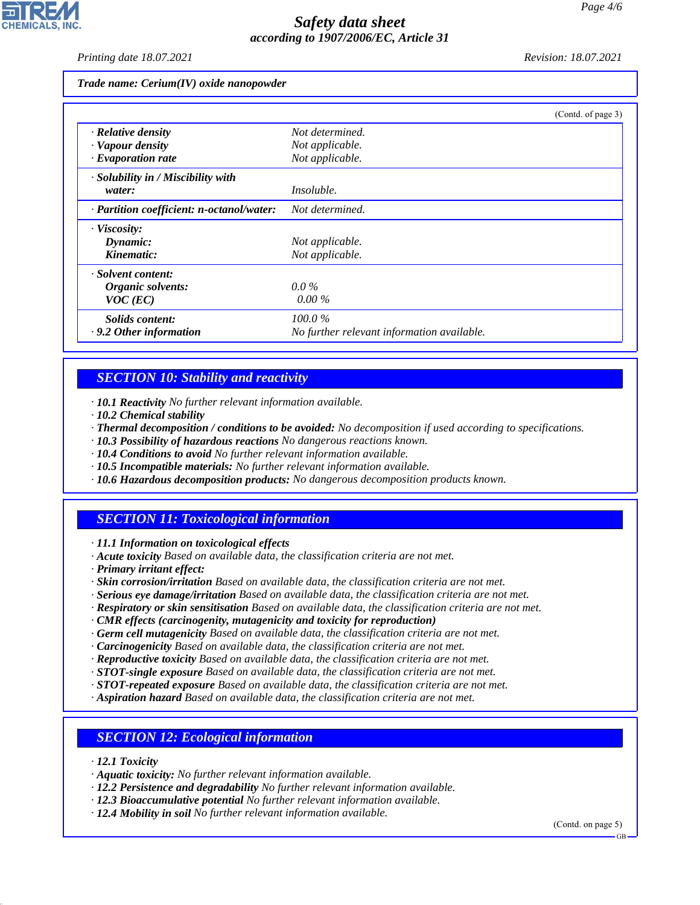*Printing date 18.07.2021 Revision: 18.07.2021*

#### *Trade name: Cerium(IV) oxide nanopowder*

|                                           | (Contd. of page 3)                         |
|-------------------------------------------|--------------------------------------------|
| $\cdot$ Relative density                  | Not determined.                            |
| · Vapour density                          | Not applicable.                            |
| $\cdot$ Evaporation rate                  | Not applicable.                            |
| · Solubility in / Miscibility with        |                                            |
| water:                                    | <i>Insoluble.</i>                          |
| · Partition coefficient: n-octanol/water: | Not determined.                            |
| · Viscosity:                              |                                            |
| Dynamic:                                  | Not applicable.                            |
| Kinematic:                                | Not applicable.                            |
| · Solvent content:                        |                                            |
| Organic solvents:                         | $0.0\%$                                    |
| $VOC$ (EC)                                | $0.00\%$                                   |
| Solids content:                           | $100.0\%$                                  |
| $\cdot$ 9.2 Other information             | No further relevant information available. |

## *SECTION 10: Stability and reactivity*

*· 10.1 Reactivity No further relevant information available.*

- *· 10.2 Chemical stability*
- *· Thermal decomposition / conditions to be avoided: No decomposition if used according to specifications.*
- *· 10.3 Possibility of hazardous reactions No dangerous reactions known.*
- *· 10.4 Conditions to avoid No further relevant information available.*
- *· 10.5 Incompatible materials: No further relevant information available.*
- *· 10.6 Hazardous decomposition products: No dangerous decomposition products known.*

## *SECTION 11: Toxicological information*

*· 11.1 Information on toxicological effects*

- *· Acute toxicity Based on available data, the classification criteria are not met.*
- *· Primary irritant effect:*
- *· Skin corrosion/irritation Based on available data, the classification criteria are not met.*
- *· Serious eye damage/irritation Based on available data, the classification criteria are not met.*
- *· Respiratory or skin sensitisation Based on available data, the classification criteria are not met.*
- *· CMR effects (carcinogenity, mutagenicity and toxicity for reproduction)*
- *· Germ cell mutagenicity Based on available data, the classification criteria are not met.*
- *· Carcinogenicity Based on available data, the classification criteria are not met.*
- *· Reproductive toxicity Based on available data, the classification criteria are not met.*
- *· STOT-single exposure Based on available data, the classification criteria are not met.*
- *· STOT-repeated exposure Based on available data, the classification criteria are not met.*
- *· Aspiration hazard Based on available data, the classification criteria are not met.*

## *SECTION 12: Ecological information*

*· 12.1 Toxicity*

44.1.1

- *· Aquatic toxicity: No further relevant information available.*
- *· 12.2 Persistence and degradability No further relevant information available.*
- *· 12.3 Bioaccumulative potential No further relevant information available.*
- *· 12.4 Mobility in soil No further relevant information available.*

(Contd. on page 5)

GB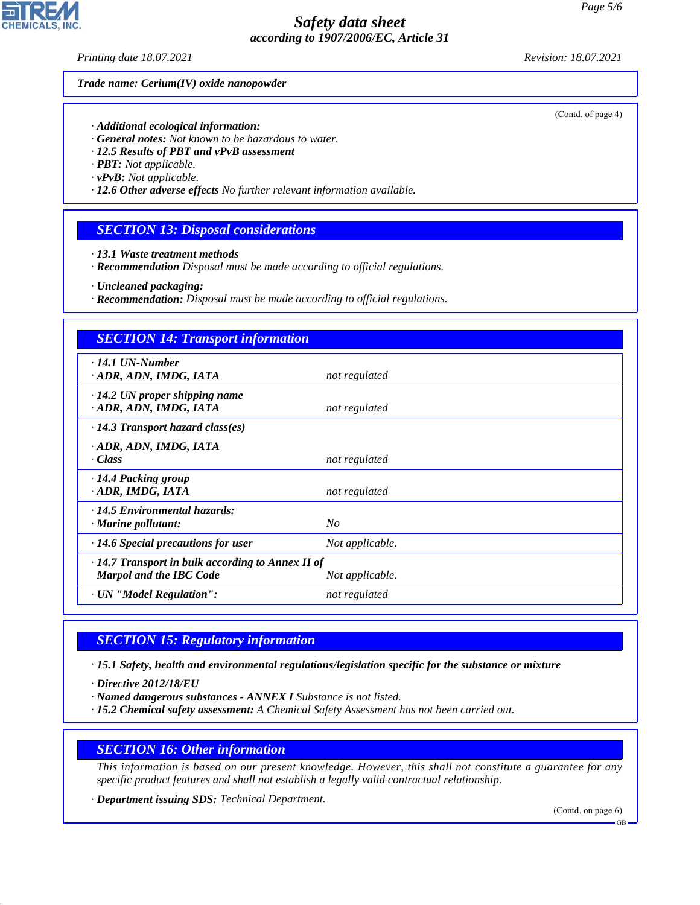*Printing date 18.07.2021 Revision: 18.07.2021*

#### *Trade name: Cerium(IV) oxide nanopowder*

*· Additional ecological information:*

- *· General notes: Not known to be hazardous to water.*
- *· 12.5 Results of PBT and vPvB assessment*
- *· PBT: Not applicable.*
- *· vPvB: Not applicable.*
- *· 12.6 Other adverse effects No further relevant information available.*

#### *SECTION 13: Disposal considerations*

- *· 13.1 Waste treatment methods*
- *· Recommendation Disposal must be made according to official regulations.*
- *· Uncleaned packaging:*
- *· Recommendation: Disposal must be made according to official regulations.*

| <b>SECTION 14: Transport information</b>                                           |                 |  |
|------------------------------------------------------------------------------------|-----------------|--|
| · 14.1 UN-Number<br>· ADR, ADN, IMDG, IATA                                         | not regulated   |  |
| $\cdot$ 14.2 UN proper shipping name<br>· ADR, ADN, IMDG, IATA                     | not regulated   |  |
| $\cdot$ 14.3 Transport hazard class(es)                                            |                 |  |
| · ADR, ADN, IMDG, IATA<br>· Class                                                  | not regulated   |  |
| ⋅14.4 Packing group<br>· ADR, IMDG, IATA                                           | not regulated   |  |
| $\cdot$ 14.5 Environmental hazards:<br>· Marine pollutant:                         | $N_{O}$         |  |
| $\cdot$ 14.6 Special precautions for user                                          | Not applicable. |  |
| $\cdot$ 14.7 Transport in bulk according to Annex II of<br>Marpol and the IBC Code | Not applicable. |  |
| · UN "Model Regulation":                                                           | not regulated   |  |

#### *SECTION 15: Regulatory information*

*· 15.1 Safety, health and environmental regulations/legislation specific for the substance or mixture*

*· Directive 2012/18/EU*

44.1.1

- *· Named dangerous substances ANNEX I Substance is not listed.*
- *· 15.2 Chemical safety assessment: A Chemical Safety Assessment has not been carried out.*

#### *SECTION 16: Other information*

*This information is based on our present knowledge. However, this shall not constitute a guarantee for any specific product features and shall not establish a legally valid contractual relationship.*

*· Department issuing SDS: Technical Department.*

(Contd. on page 6)

(Contd. of page 4)



GB